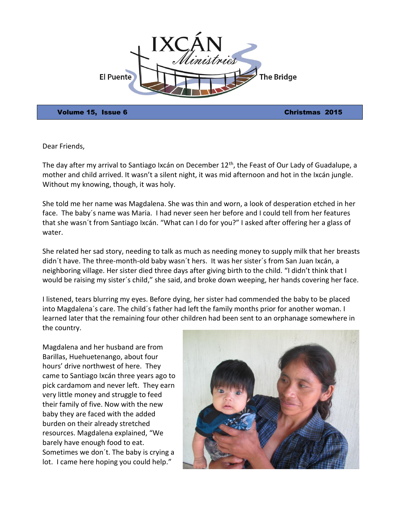

Volume 15, Issue 6 Christmas 2015

Dear Friends,

The day after my arrival to Santiago Ixcán on December  $12<sup>th</sup>$ , the Feast of Our Lady of Guadalupe, a mother and child arrived. It wasn't a silent night, it was mid afternoon and hot in the Ixcán jungle. Without my knowing, though, it was holy.

She told me her name was Magdalena. She was thin and worn, a look of desperation etched in her face. The baby´s name was Maria. I had never seen her before and I could tell from her features that she wasn´t from Santiago Ixcán. "What can I do for you?" I asked after offering her a glass of water.

She related her sad story, needing to talk as much as needing money to supply milk that her breasts didn´t have. The three-month-old baby wasn´t hers. It was her sister´s from San Juan Ixcán, a neighboring village. Her sister died three days after giving birth to the child. "I didn't think that I would be raising my sister´s child," she said, and broke down weeping, her hands covering her face.

I listened, tears blurring my eyes. Before dying, her sister had commended the baby to be placed into Magdalena´s care. The child´s father had left the family months prior for another woman. I learned later that the remaining four other children had been sent to an orphanage somewhere in the country.

Magdalena and her husband are from Barillas, Huehuetenango, about four hours' drive northwest of here. They came to Santiago Ixcán three years ago to pick cardamom and never left. They earn very little money and struggle to feed their family of five. Now with the new baby they are faced with the added burden on their already stretched resources. Magdalena explained, "We barely have enough food to eat. Sometimes we don´t. The baby is crying a lot. I came here hoping you could help."